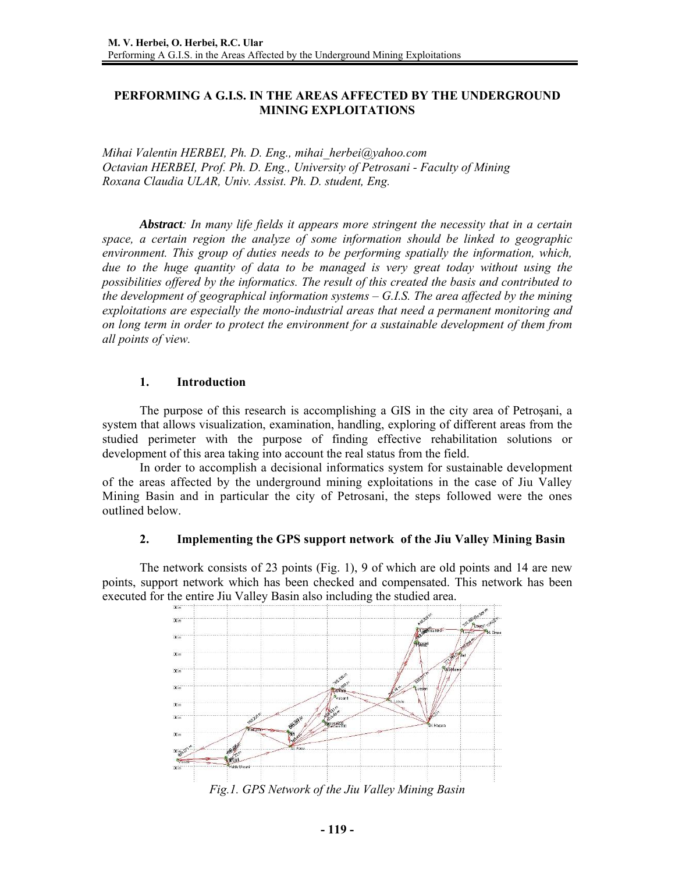# **PERFORMING A G.I.S. IN THE AREAS AFFECTED BY THE UNDERGROUND MINING EXPLOITATIONS**

*Mihai Valentin HERBEI, Ph. D. Eng., mihai\_herbei@yahoo.com Octavian HERBEI, Prof. Ph. D. Eng., University of Petrosani - Faculty of Mining Roxana Claudia ULAR, Univ. Assist. Ph. D. student, Eng.* 

*Abstract: In many life fields it appears more stringent the necessity that in a certain space, a certain region the analyze of some information should be linked to geographic environment. This group of duties needs to be performing spatially the information, which, due to the huge quantity of data to be managed is very great today without using the possibilities offered by the informatics. The result of this created the basis and contributed to the development of geographical information systems – G.I.S. The area affected by the mining exploitations are especially the mono-industrial areas that need a permanent monitoring and on long term in order to protect the environment for a sustainable development of them from all points of view.* 

### **1. Introduction**

The purpose of this research is accomplishing a GIS in the city area of Petroşani, a system that allows visualization, examination, handling, exploring of different areas from the studied perimeter with the purpose of finding effective rehabilitation solutions or development of this area taking into account the real status from the field.

In order to accomplish a decisional informatics system for sustainable development of the areas affected by the underground mining exploitations in the case of Jiu Valley Mining Basin and in particular the city of Petrosani, the steps followed were the ones outlined below.

### **2. Implementing the GPS support network of the Jiu Valley Mining Basin**

The network consists of 23 points (Fig. 1), 9 of which are old points and 14 are new points, support network which has been checked and compensated. This network has been executed for the entire Jiu Valley Basin also including the studied area.



*Fig.1. GPS Network of the Jiu Valley Mining Basin*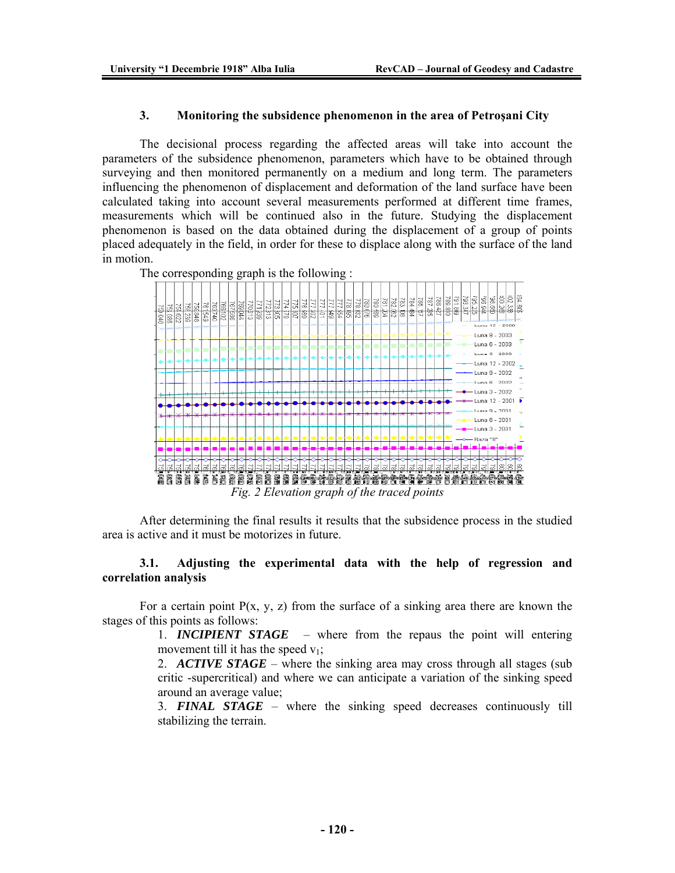### **3. Monitoring the subsidence phenomenon in the area of Petroşani City**

The decisional process regarding the affected areas will take into account the parameters of the subsidence phenomenon, parameters which have to be obtained through surveying and then monitored permanently on a medium and long term. The parameters influencing the phenomenon of displacement and deformation of the land surface have been calculated taking into account several measurements performed at different time frames, measurements which will be continued also in the future. Studying the displacement phenomenon is based on the data obtained during the displacement of a group of points placed adequately in the field, in order for these to displace along with the surface of the land in motion.

The corresponding graph is the following :



After determining the final results it results that the subsidence process in the studied area is active and it must be motorizes in future.

## **3.1. Adjusting the experimental data with the help of regression and correlation analysis**

For a certain point  $P(x, y, z)$  from the surface of a sinking area there are known the stages of this points as follows:

> 1. *INCIPIENT STAGE* – where from the repaus the point will entering movement till it has the speed  $v_1$ ;

> 2. *ACTIVE STAGE* – where the sinking area may cross through all stages (sub critic -supercritical) and where we can anticipate a variation of the sinking speed around an average value;

> 3. *FINAL STAGE* – where the sinking speed decreases continuously till stabilizing the terrain.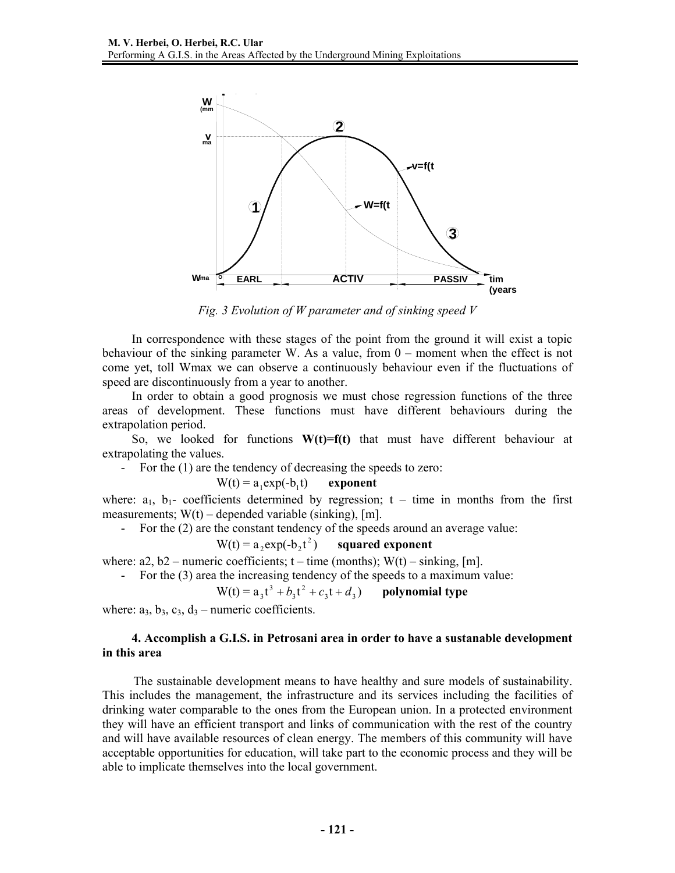

*Fig. 3 Evolution of W parameter and of sinking speed V* 

In correspondence with these stages of the point from the ground it will exist a topic behaviour of the sinking parameter W. As a value, from 0 – moment when the effect is not come yet, toll Wmax we can observe a continuously behaviour even if the fluctuations of speed are discontinuously from a year to another.

In order to obtain a good prognosis we must chose regression functions of the three areas of development. These functions must have different behaviours during the extrapolation period.

So, we looked for functions  $W(t)=f(t)$  that must have different behaviour at extrapolating the values.

- For the (1) are the tendency of decreasing the speeds to zero:

$$
W(t) = a_1 \exp(-b_1 t) \qquad exponent
$$

where:  $a_1$ ,  $b_1$ - coefficients determined by regression;  $t - \text{time}$  in months from the first measurements;  $W(t)$  – depended variable (sinking), [m].

- For the (2) are the constant tendency of the speeds around an average value:

 $W(t) = a_2 \exp(-b_2 t^2)$ squared exponent

where:  $a2$ ,  $b2$  – numeric coefficients;  $t$  – time (months);  $W(t)$  – sinking, [m].

- For the (3) area the increasing tendency of the speeds to a maximum value:

$$
W(t) = a_3t^3 + b_3t^2 + c_3t + d_3
$$
 polynomial type

where:  $a_3$ ,  $b_3$ ,  $c_3$ ,  $d_3$  – numeric coefficients.

## **4. Accomplish a G.I.S. in Petrosani area in order to have a sustanable development in this area**

The sustainable development means to have healthy and sure models of sustainability. This includes the management, the infrastructure and its services including the facilities of drinking water comparable to the ones from the European union. In a protected environment they will have an efficient transport and links of communication with the rest of the country and will have available resources of clean energy. The members of this community will have acceptable opportunities for education, will take part to the economic process and they will be able to implicate themselves into the local government.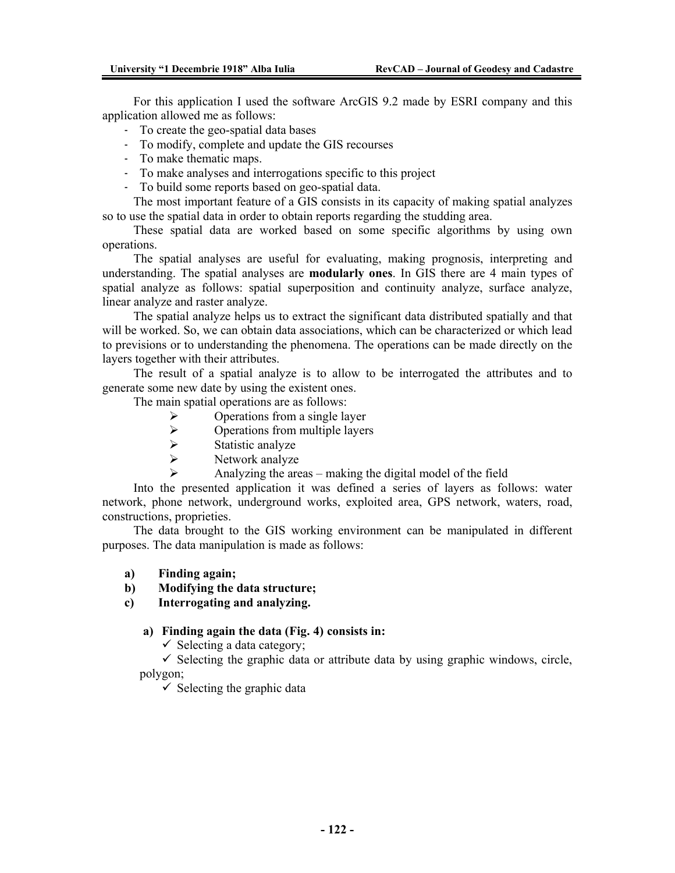For this application I used the software ArcGIS 9.2 made by ESRI company and this application allowed me as follows:

- To create the geo-spatial data bases
- To modify, complete and update the GIS recourses
- To make thematic maps.
- To make analyses and interrogations specific to this project
- To build some reports based on geo-spatial data.

The most important feature of a GIS consists in its capacity of making spatial analyzes so to use the spatial data in order to obtain reports regarding the studding area.

These spatial data are worked based on some specific algorithms by using own operations.

The spatial analyses are useful for evaluating, making prognosis, interpreting and understanding. The spatial analyses are **modularly ones**. In GIS there are 4 main types of spatial analyze as follows: spatial superposition and continuity analyze, surface analyze, linear analyze and raster analyze.

The spatial analyze helps us to extract the significant data distributed spatially and that will be worked. So, we can obtain data associations, which can be characterized or which lead to previsions or to understanding the phenomena. The operations can be made directly on the layers together with their attributes.

The result of a spatial analyze is to allow to be interrogated the attributes and to generate some new date by using the existent ones.

The main spatial operations are as follows:

- $\triangleright$  Operations from a single layer
- $\triangleright$  Operations from multiple layers<br> $\triangleright$  Statistic analyze
- $\triangleright$  Statistic analyze
- Network analyze
	- ¾ Analyzing the areas making the digital model of the field

Into the presented application it was defined a series of layers as follows: water network, phone network, underground works, exploited area, GPS network, waters, road, constructions, proprieties.

The data brought to the GIS working environment can be manipulated in different purposes. The data manipulation is made as follows:

- **a) Finding again;**
- **b) Modifying the data structure;**

**c) Interrogating and analyzing.** 

#### **a) Finding again the data (Fig. 4) consists in:**

 $\checkmark$  Selecting a data category;

 $\checkmark$  Selecting the graphic data or attribute data by using graphic windows, circle, polygon;

 $\checkmark$  Selecting the graphic data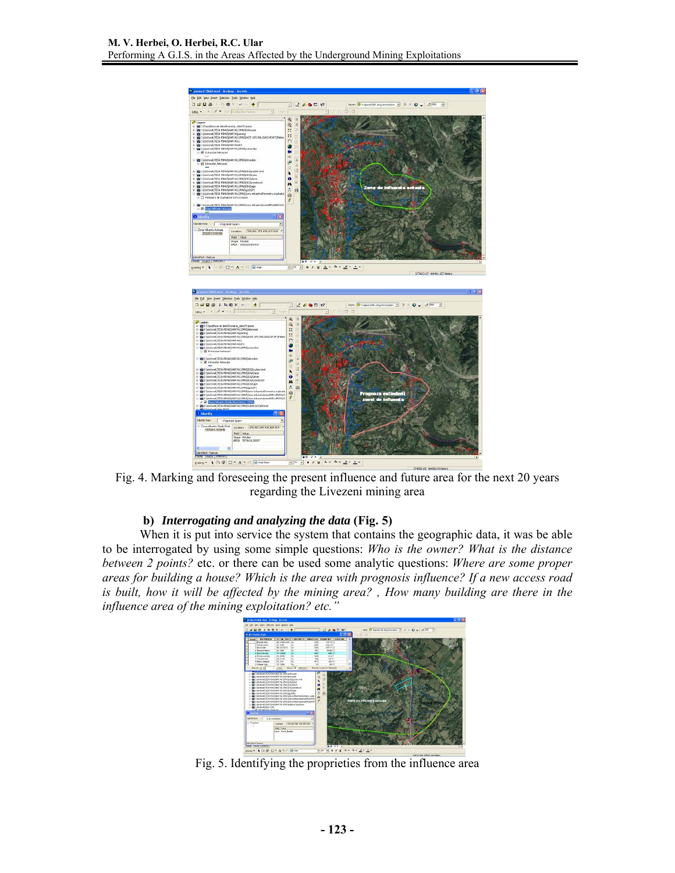

Fig. 4. Marking and foreseeing the present influence and future area for the next 20 years regarding the Livezeni mining area

# **b)** *Interrogating and analyzing the data* **(Fig. 5)**

When it is put into service the system that contains the geographic data, it was be able to be interrogated by using some simple questions: *Who is the owner? What is the distance between 2 points?* etc. or there can be used some analytic questions: *Where are some proper areas for building a house? Which is the area with prognosis influence? If a new access road is built, how it will be affected by the mining area? , How many building are there in the influence area of the mining exploitation? etc."* 



Fig. 5. Identifying the proprieties from the influence area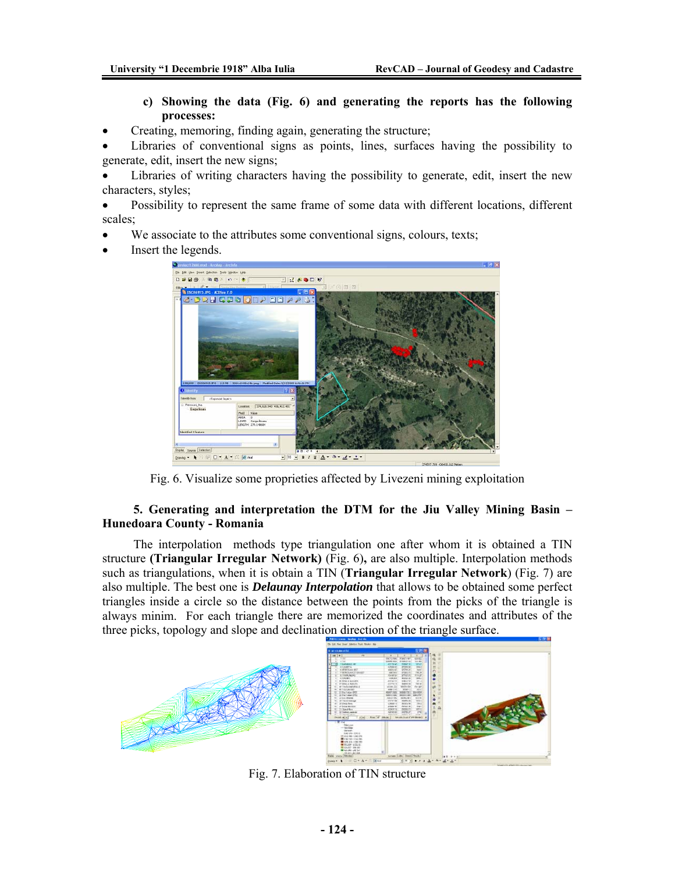# **c) Showing the data (Fig. 6) and generating the reports has the following processes:**

- Creating, memoring, finding again, generating the structure;
- Libraries of conventional signs as points, lines, surfaces having the possibility to generate, edit, insert the new signs;

Libraries of writing characters having the possibility to generate, edit, insert the new characters, styles;

• Possibility to represent the same frame of some data with different locations, different scales;

- We associate to the attributes some conventional signs, colours, texts;
- Insert the legends.



Fig. 6. Visualize some proprieties affected by Livezeni mining exploitation

# **5. Generating and interpretation the DTM for the Jiu Valley Mining Basin – Hunedoara County - Romania**

The interpolation methods type triangulation one after whom it is obtained a TIN structure **(Triangular Irregular Network)** (Fig. 6)**,** are also multiple. Interpolation methods such as triangulations, when it is obtain a TIN (**Triangular Irregular Network**) (Fig. 7) are also multiple. The best one is *Delaunay Interpolation* that allows to be obtained some perfect triangles inside a circle so the distance between the points from the picks of the triangle is always minim. For each triangle there are memorized the coordinates and attributes of the three picks, topology and slope and declination direction of the triangle surface.



Fig. 7. Elaboration of TIN structure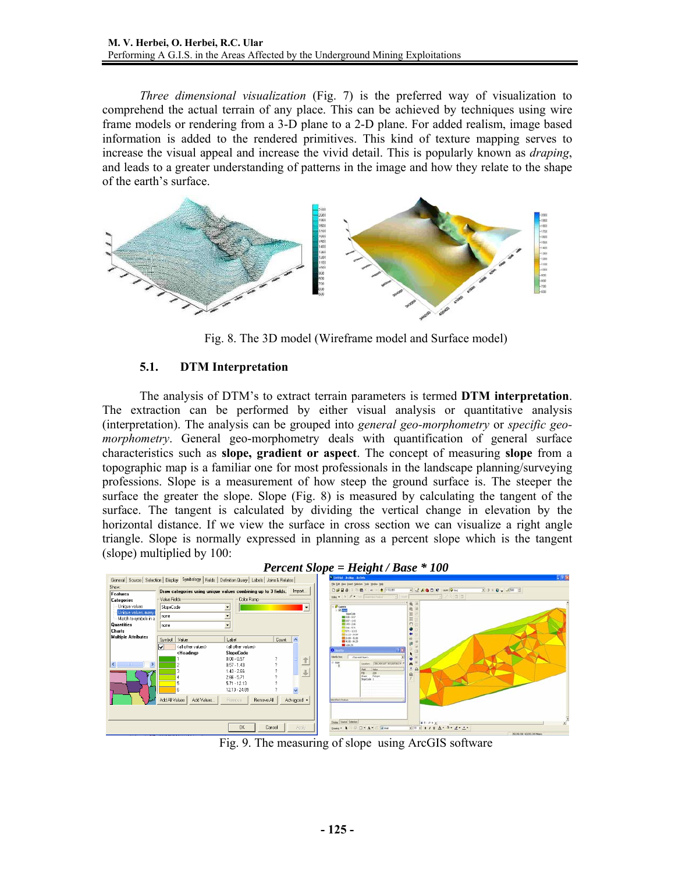*Three dimensional visualization* (Fig. 7) is the preferred way of visualization to comprehend the actual terrain of any place. This can be achieved by techniques using wire frame models or rendering from a 3-D plane to a 2-D plane. For added realism, image based information is added to the rendered primitives. This kind of texture mapping serves to increase the visual appeal and increase the vivid detail. This is popularly known as *draping*, and leads to a greater understanding of patterns in the image and how they relate to the shape of the earth's surface.



Fig. 8. The 3D model (Wireframe model and Surface model)

# **5.1. DTM Interpretation**

The analysis of DTM's to extract terrain parameters is termed **DTM interpretation**. The extraction can be performed by either visual analysis or quantitative analysis (interpretation). The analysis can be grouped into *general geo-morphometry* or *specific geomorphometry*. General geo-morphometry deals with quantification of general surface characteristics such as **slope, gradient or aspect**. The concept of measuring **slope** from a topographic map is a familiar one for most professionals in the landscape planning/surveying professions. Slope is a measurement of how steep the ground surface is. The steeper the surface the greater the slope. Slope (Fig. 8) is measured by calculating the tangent of the surface. The tangent is calculated by dividing the vertical change in elevation by the horizontal distance. If we view the surface in cross section we can visualize a right angle triangle. Slope is normally expressed in planning as a percent slope which is the tangent (slope) multiplied by 100:



*Percent Slope = Height / Base \* 100* 

Fig. 9. The measuring of slope using ArcGIS software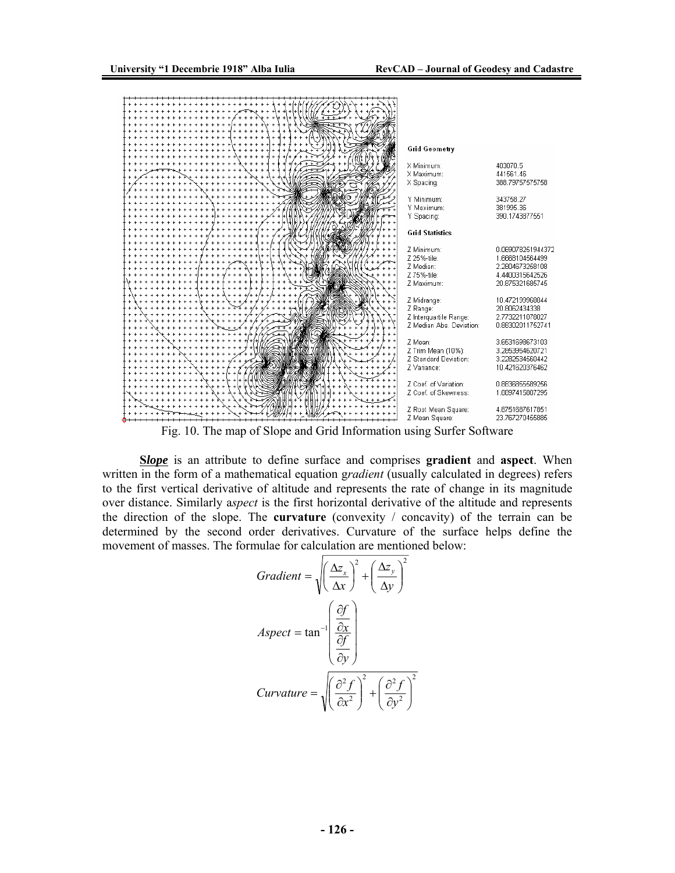

Fig. 10. The map of Slope and Grid Information using Surfer Software

**S***lope* is an attribute to define surface and comprises **gradient** and **aspect**. When written in the form of a mathematical equation g*radient* (usually calculated in degrees) refers to the first vertical derivative of altitude and represents the rate of change in its magnitude over distance. Similarly a*spect* is the first horizontal derivative of the altitude and represents the direction of the slope. The **curvature** (convexity / concavity) of the terrain can be determined by the second order derivatives. Curvature of the surface helps define the movement of masses. The formulae for calculation are mentioned below:

$$
Gradient = \sqrt{\left(\frac{\Delta z_x}{\Delta x}\right)^2 + \left(\frac{\Delta z_y}{\Delta y}\right)^2}
$$
\n
$$
Aspect = \tan^{-1} \left(\frac{\frac{\partial f}{\partial x}}{\frac{\partial f}{\partial y}}\right)
$$
\n
$$
Curvature = \sqrt{\left(\frac{\partial^2 f}{\partial x^2}\right)^2 + \left(\frac{\partial^2 f}{\partial y^2}\right)^2}
$$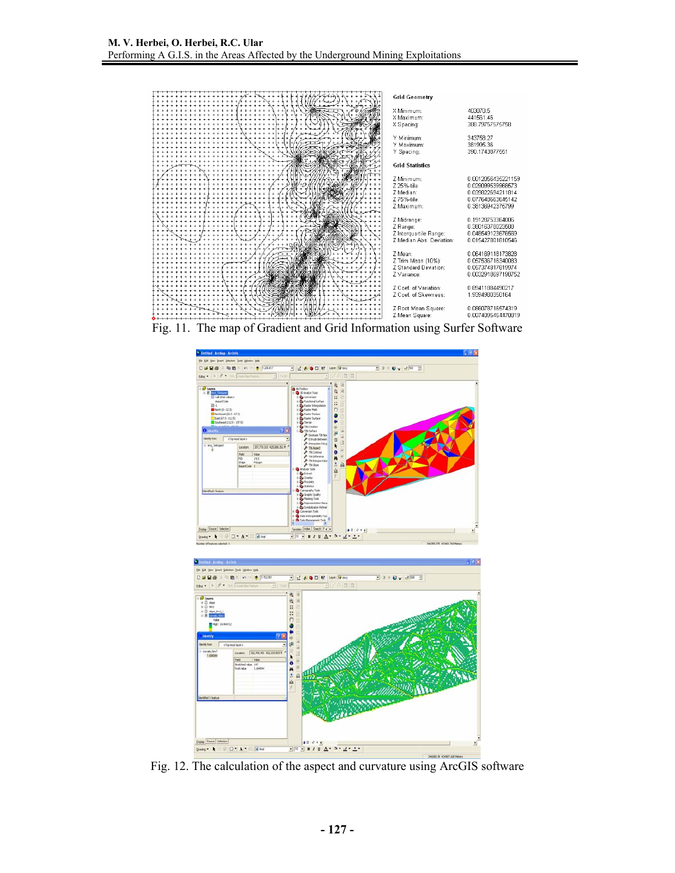

Fig. 11. The map of Gradient and Grid Information using Surfer Software





Fig. 12. The calculation of the aspect and curvature using ArcGIS software